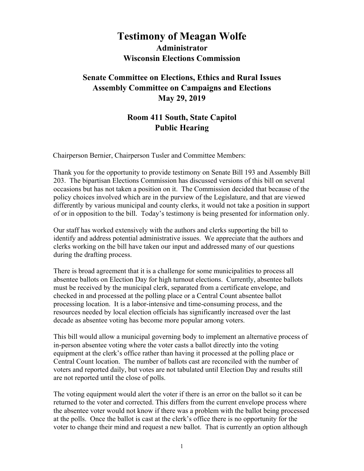## **Testimony of Meagan Wolfe Administrator Wisconsin Elections Commission**

## **Senate Committee on Elections, Ethics and Rural Issues Assembly Committee on Campaigns and Elections May 29, 2019**

## **Room 411 South, State Capitol Public Hearing**

Chairperson Bernier, Chairperson Tusler and Committee Members:

Thank you for the opportunity to provide testimony on Senate Bill 193 and Assembly Bill 203. The bipartisan Elections Commission has discussed versions of this bill on several occasions but has not taken a position on it. The Commission decided that because of the policy choices involved which are in the purview of the Legislature, and that are viewed differently by various municipal and county clerks, it would not take a position in support of or in opposition to the bill. Today's testimony is being presented for information only.

Our staff has worked extensively with the authors and clerks supporting the bill to identify and address potential administrative issues. We appreciate that the authors and clerks working on the bill have taken our input and addressed many of our questions during the drafting process.

There is broad agreement that it is a challenge for some municipalities to process all absentee ballots on Election Day for high turnout elections. Currently, absentee ballots must be received by the municipal clerk, separated from a certificate envelope, and checked in and processed at the polling place or a Central Count absentee ballot processing location. It is a labor-intensive and time-consuming process, and the resources needed by local election officials has significantly increased over the last decade as absentee voting has become more popular among voters.

This bill would allow a municipal governing body to implement an alternative process of in-person absentee voting where the voter casts a ballot directly into the voting equipment at the clerk's office rather than having it processed at the polling place or Central Count location. The number of ballots cast are reconciled with the number of voters and reported daily, but votes are not tabulated until Election Day and results still are not reported until the close of polls.

The voting equipment would alert the voter if there is an error on the ballot so it can be returned to the voter and corrected. This differs from the current envelope process where the absentee voter would not know if there was a problem with the ballot being processed at the polls. Once the ballot is cast at the clerk's office there is no opportunity for the voter to change their mind and request a new ballot. That is currently an option although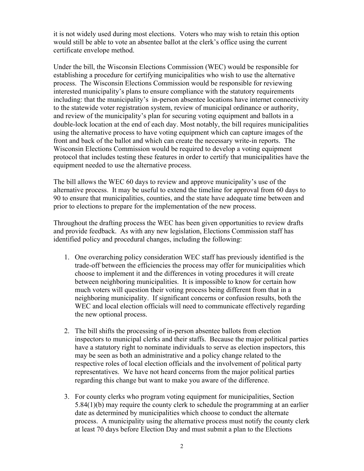it is not widely used during most elections. Voters who may wish to retain this option would still be able to vote an absentee ballot at the clerk's office using the current certificate envelope method.

Under the bill, the Wisconsin Elections Commission (WEC) would be responsible for establishing a procedure for certifying municipalities who wish to use the alternative process. The Wisconsin Elections Commission would be responsible for reviewing interested municipality's plans to ensure compliance with the statutory requirements including: that the municipality's in-person absentee locations have internet connectivity to the statewide voter registration system, review of municipal ordinance or authority, and review of the municipality's plan for securing voting equipment and ballots in a double-lock location at the end of each day. Most notably, the bill requires municipalities using the alternative process to have voting equipment which can capture images of the front and back of the ballot and which can create the necessary write-in reports. The Wisconsin Elections Commission would be required to develop a voting equipment protocol that includes testing these features in order to certify that municipalities have the equipment needed to use the alternative process.

The bill allows the WEC 60 days to review and approve municipality's use of the alternative process. It may be useful to extend the timeline for approval from 60 days to 90 to ensure that municipalities, counties, and the state have adequate time between and prior to elections to prepare for the implementation of the new process.

Throughout the drafting process the WEC has been given opportunities to review drafts and provide feedback. As with any new legislation, Elections Commission staff has identified policy and procedural changes, including the following:

- 1. One overarching policy consideration WEC staff has previously identified is the trade-off between the efficiencies the process may offer for municipalities which choose to implement it and the differences in voting procedures it will create between neighboring municipalities. It is impossible to know for certain how much voters will question their voting process being different from that in a neighboring municipality. If significant concerns or confusion results, both the WEC and local election officials will need to communicate effectively regarding the new optional process.
- 2. The bill shifts the processing of in-person absentee ballots from election inspectors to municipal clerks and their staffs. Because the major political parties have a statutory right to nominate individuals to serve as election inspectors, this may be seen as both an administrative and a policy change related to the respective roles of local election officials and the involvement of political party representatives. We have not heard concerns from the major political parties regarding this change but want to make you aware of the difference.
- 3. For county clerks who program voting equipment for municipalities, Section 5.84(1)(b) may require the county clerk to schedule the programming at an earlier date as determined by municipalities which choose to conduct the alternate process. A municipality using the alternative process must notify the county clerk at least 70 days before Election Day and must submit a plan to the Elections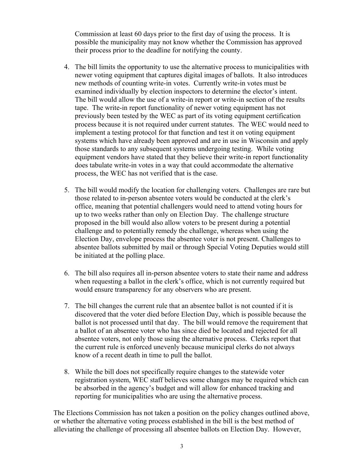Commission at least 60 days prior to the first day of using the process. It is possible the municipality may not know whether the Commission has approved their process prior to the deadline for notifying the county.

- 4. The bill limits the opportunity to use the alternative process to municipalities with newer voting equipment that captures digital images of ballots. It also introduces new methods of counting write-in votes. Currently write-in votes must be examined individually by election inspectors to determine the elector's intent. The bill would allow the use of a write-in report or write-in section of the results tape. The write-in report functionality of newer voting equipment has not previously been tested by the WEC as part of its voting equipment certification process because it is not required under current statutes. The WEC would need to implement a testing protocol for that function and test it on voting equipment systems which have already been approved and are in use in Wisconsin and apply those standards to any subsequent systems undergoing testing. While voting equipment vendors have stated that they believe their write-in report functionality does tabulate write-in votes in a way that could accommodate the alternative process, the WEC has not verified that is the case.
- 5. The bill would modify the location for challenging voters. Challenges are rare but those related to in-person absentee voters would be conducted at the clerk's office, meaning that potential challengers would need to attend voting hours for up to two weeks rather than only on Election Day. The challenge structure proposed in the bill would also allow voters to be present during a potential challenge and to potentially remedy the challenge, whereas when using the Election Day, envelope process the absentee voter is not present. Challenges to absentee ballots submitted by mail or through Special Voting Deputies would still be initiated at the polling place.
- 6. The bill also requires all in-person absentee voters to state their name and address when requesting a ballot in the clerk's office, which is not currently required but would ensure transparency for any observers who are present.
- 7. The bill changes the current rule that an absentee ballot is not counted if it is discovered that the voter died before Election Day, which is possible because the ballot is not processed until that day. The bill would remove the requirement that a ballot of an absentee voter who has since died be located and rejected for all absentee voters, not only those using the alternative process. Clerks report that the current rule is enforced unevenly because municipal clerks do not always know of a recent death in time to pull the ballot.
- 8. While the bill does not specifically require changes to the statewide voter registration system, WEC staff believes some changes may be required which can be absorbed in the agency's budget and will allow for enhanced tracking and reporting for municipalities who are using the alternative process.

The Elections Commission has not taken a position on the policy changes outlined above, or whether the alternative voting process established in the bill is the best method of alleviating the challenge of processing all absentee ballots on Election Day. However,